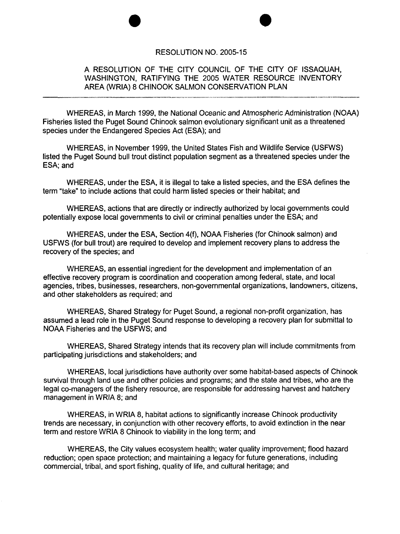## RESOLUTION NO. 2005-15

e e

## A RESOLUTION OF THE CITY COUNCIL OF THE CITY OF ISSAQUAH, WASHINGTON, RATIFYING THE 2005 WATER RESOURCE INVENTORY AREA (WRIA) 8 CHINOOK SALMON CONSERVATION PLAN

WHEREAS, in March 1999, the National Oceanic and Atmospheric Administration (NOAA) Fisheries listed the Puget Sound Chinook salmon evolutionary significant unit as a threatened species under the Endangered Species Act (ESA); and

WHEREAS, in November 1999, the United States Fish and Wildlife Service (USFWS) listed the Puget Sound bull trout distinct population segment as a threatened species under the ESA; and

WHEREAS, under the ESA, it is illegal to take a listed species, and the ESA defines the term "take" to include actions that could harm listed species or their habitat; and

WHEREAS, actions that are directly or indirectly authorized by local governments could potentially expose local governments to civil or criminal penalties under the ESA; and

WHEREAS, under the ESA, Section 4(f), NOAA Fisheries (for Chinook salmon) and USFWS (for bull trout) are required to develop and implement recovery plans to address the recovery of the species; and

WHEREAS, an essential ingredient for the development and implementation of an effective recovery program is coordination and cooperation among federal, state, and local agencies, tribes, businesses, researchers, non-governmental organizations, landowners, citizens, and other stakeholders as required; and

WHEREAS, Shared Strategy for Puget Sound, a regional non-profit organization, has assumed a lead role in the Puget Sound response to developing a recovery plan for submittal to NOAA Fisheries and the USFWS; and

WHEREAS, Shared Strategy intends that its recovery plan will include commitments from participating jurisdictions and stakeholders; and

WHEREAS, local jurisdictions have authority over some habitat-based aspects of Chinook survival through land use and other policies and programs; and the state and tribes, who are the legal co-managers of the fishery resource, are responsible for addressing harvest and hatchery management in WRIA 8; and

WHEREAS, in WRIA 8, habitat actions to significantly increase Chinook productivity trends are necessary, in conjunction with other recovery efforts, to avoid extinction in the near term and restore WRIA 8 Chinook to viability in the long term; and

WHEREAS, the City values ecosystem health; water quality improvement; flood hazard reduction; open space protection; and maintaining a legacy for future generations, including commercial, tribal, and sport fishing, quality of life, and cultural heritage; and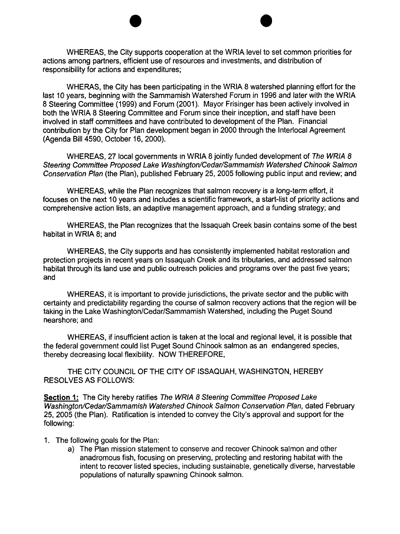WHEREAS, the City supports cooperation at the WRIA level to set common priorities for actions among partners, efficient use of resources and investments, and distribution of responsibility for actions and expenditures;

e e

WHERAS, the City has been participating in the WRIA 8 watershed planning effort for the last 10 years, beginning with the Sammamish Watershed Forum in 1996 and later with the WRIA 8 Steering Committee (1999) and Forum (2001). Mayor Frisinger has been actively involved in both the WRIA 8 Steering Committee and Forum since their inception, and staff have been involved in staff committees and have contributed to development of the Plan. Financial contribution by the City for Plan development began in 2000 through the Interlocal Agreement (Agenda Bill 4590, October 16, 2000).

WHEREAS, 27 local governments in WRIA 8 jointly funded development of The WRIA 8 Steering Committee Proposed Lake Washington/Cedar/Sammamish Watershed Chinook Salmon Conservation Plan (the Plan), published February 25, 2005 following public input and review; and

WHEREAS, while the Plan recognizes that salmon recovery is a long-term effort, it focuses on the next 10 years and includes a scientific framework, a start-list of priority actions and comprehensive action lists, an adaptive management approach, and a funding strategy; and

WHEREAS, the Plan recognizes that the Issaquah Creek basin contains some of the best habitat in WRIA 8; and

WHEREAS, the City supports and has consistently implemented habitat restoration and protection projects in recent years on Issaquah Creek and its tributaries, and addressed salmon habitat through its land use and public outreach policies and programs over the past five years; and

WHEREAS, it is important to provide jurisdictions, the private sector and the public with certainty and predictability regarding the course of salmon recovery actions that the region will be taking in the lake Washington/Cedar/Sammamish Watershed, including the Puget Sound nearshore; and

WHEREAS, if insufficient action is taken at the local and regional level, it is possible that the federal government could list Puget Sound Chinook salmon as an endangered species, thereby decreasing local flexibility. NOW THEREFORE,

THE CITY COUNCil OF THE CITY OF ISSAQUAH, WASHINGTON, HEREBY RESOLVES AS FOllOWS:

Section 1: The City hereby ratifies The WRIA 8 Steering Committee Proposed Lake Washington/Cedar/Sammamish Watershed Chinook Salmon Conservation Plan, dated February 25,2005 (the Plan). Ratification is intended to convey the City's approval and support for the following:

- 1. The following goals for the Plan:
	- a) The Plan mission statement to conserve and recover Chinook salmon and other anadromous fish, focusing on preserving, protecting and restoring habitat with the intent to recover listed species, including sustainable, genetically diverse, harvestable populations of naturally spawning Chinook salmon.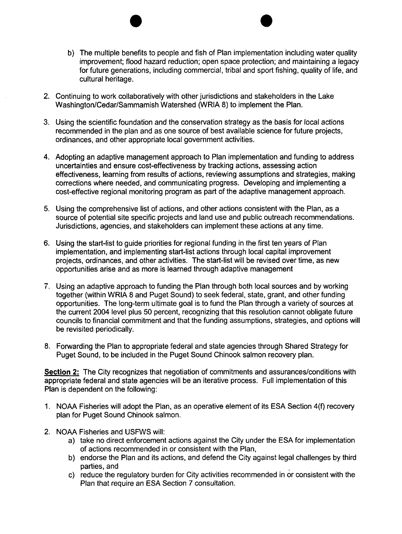b) The multiple benefits to people and fish of Plan implementation including water quality improvement; flood hazard reduction; open space protection; and maintaining a legacy for future generations, including commercial, tribal and sport fishing, quality of life, and cultural heritage.

e e

- 2. Continuing to work collaboratively with other jurisdictions and stakeholders in the Lake Washington/Cedar/Sammamish Watershed (WRIA 8) to implement the Plan.
- 3. Using the scientific foundation and the conservation strategy as the basis for local actions recommended in the plan and as one source of best available science for future projects, ordinances, and other appropriate local government activities.
- 4. Adopting an adaptive management approach to Plan implementation and funding to address uncertainties and ensure cost-effectiveness by tracking actions, assessing action effectiveness, learning from results of actions, reviewing assumptions and strategies, making corrections where needed, and communicating progress. Developing and implementing a cost-effective regional monitoring program as part of the adaptive management approach.
- 5. Using the comprehensive list of actions, and other actions consistent with the Plan, as a source of potential site specific projects and land use and public outreach recommendations. Jurisdictions, agencies, and stakeholders can implement these actions at any time.
- 6. Using the start-list to guide priorities for regional funding in the first ten years of Plan implementation, and implementing start-list actions through local capital improvement projects, ordinances, and other activities. The start-list will be revised over time, as new opportunities arise and as more is learned through adaptive management
- 7. Using an adaptive approach to funding the Plan through both local sources and by working together (within WRIA 8 and Puget Sound) to seek federal, state, grant, and other funding opportunities. The long-term ultimate goal is to fund the Plan through a variety of sources at the current 2004 level plus 50 percent, recognizing that this resolution cannot obligate future councils to financial commitment and that the funding assumptions, strategies, and options will be revisited periodically.
- 8. Forwarding the Plan to appropriate federal and state agencies through Shared Strategy for Puget Sound, to be included in the Puget Sound Chinook salmon recovery plan.

Section 2: The City recognizes that negotiation of commitments and assurances/conditions with appropriate federal and state agencies will be an iterative process. Full implementation of this Plan is dependent on the following:

- 1. NOAA Fisheries will adopt the Plan, as an operative element of its ESA Section 4(f) recovery plan for Puget Sound Chinook salmon.
- 2. NOAA Fisheries and USFWS will:
	- a) take no direct enforcement actions against the City under the ESA for implementation of actions recommended in or consistent with the Plan,
	- b) endorse the Plan and its actions, and defend the City against legal challenges by third parties, and
	- c) reduce the regulatory burden for City activities recommended in or consistent with the Plan that require an ESA Section 7 consultation.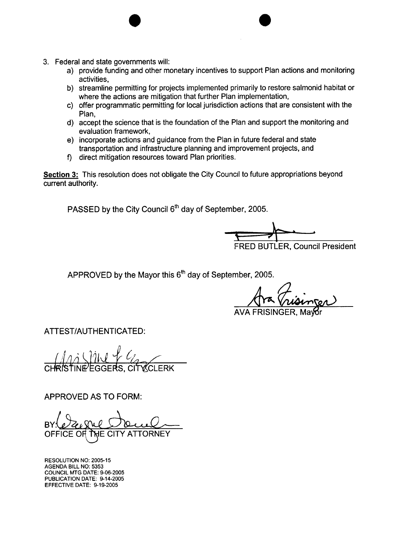- 3. Federal and state governments will:
	- a) provide funding and other monetary incentives to support Plan actions and monitoring activities,

 $\bullet$ 

- b) streamline permitting for projects implemented primarily to restore salmonid habitat or where the actions are mitigation that further Plan implementation,
- c) offer programmatic permitting for local jurisdiction actions that are consistent with the Plan,
- d) accept the science that is the foundation of the Plan and support the monitoring and evaluation framework,
- e) incorporate actions and guidance from the Plan in future federal and state transportation and infrastructure planning and improvement projects, and
- f) direct mitigation resources toward Plan priorities.

Section 3: This resolution does not obligate the City Council to future appropriations beyond current authority.

PASSED by the City Council 6<sup>th</sup> day of September, 2005.

;¡. FRED BUTLER, Council President .i '£ ..

APPROVED by the Mayor this 6<sup>th</sup> day of September, 2005.

ATTEST/AUTHENTICATED:

 $\overline{\text{CHR}}\text{I}\text{S}\text{I}'$ INE EGGERS, CITY CLERK

APPROVED AS TO FORM:

RESOLUTION NO: 2005-15 AGENDA BILL NO: 5353 COUNCIL MTG DATE: 9-06-2005 PUBLICATION DATE: 9-14-2005 EFFECTIVE DATE: 9-19-2005